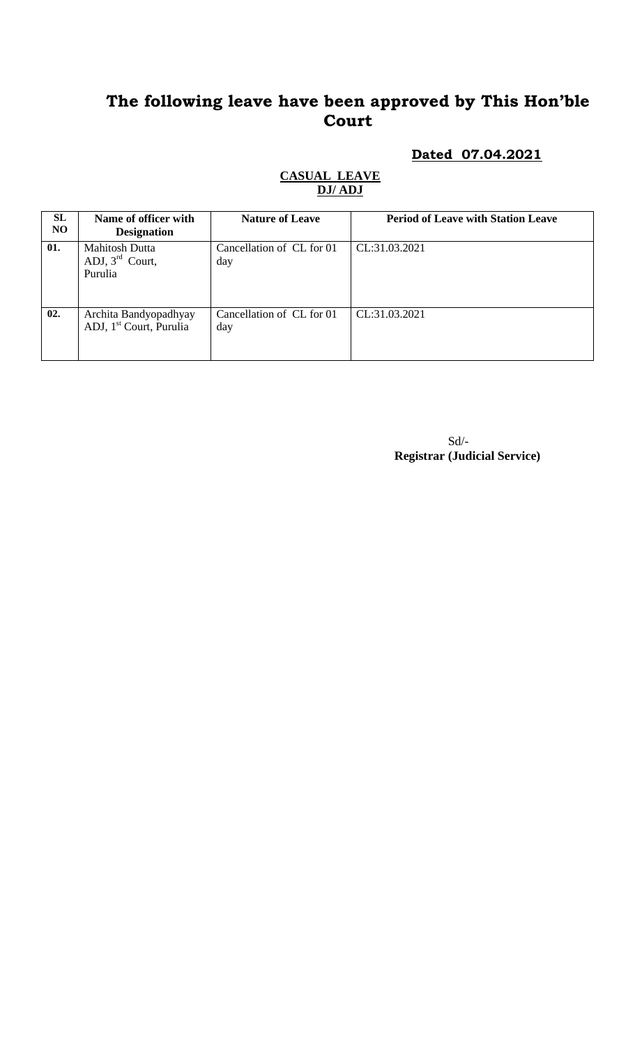#### **Dated 07.04.2021**

#### **CASUAL LEAVE DJ/ ADJ**

| <b>SL</b><br>NO. | Name of officer with<br><b>Designation</b>                      | <b>Nature of Leave</b>           | <b>Period of Leave with Station Leave</b> |
|------------------|-----------------------------------------------------------------|----------------------------------|-------------------------------------------|
| 01.              | <b>Mahitosh Dutta</b><br>ADJ, $3^{\text{rd}}$ Court,<br>Purulia | Cancellation of CL for 01<br>day | CL:31.03.2021                             |
| 02.              | Archita Bandyopadhyay<br>ADJ, 1 <sup>st</sup> Court, Purulia    | Cancellation of CL for 01<br>day | CL:31.03.2021                             |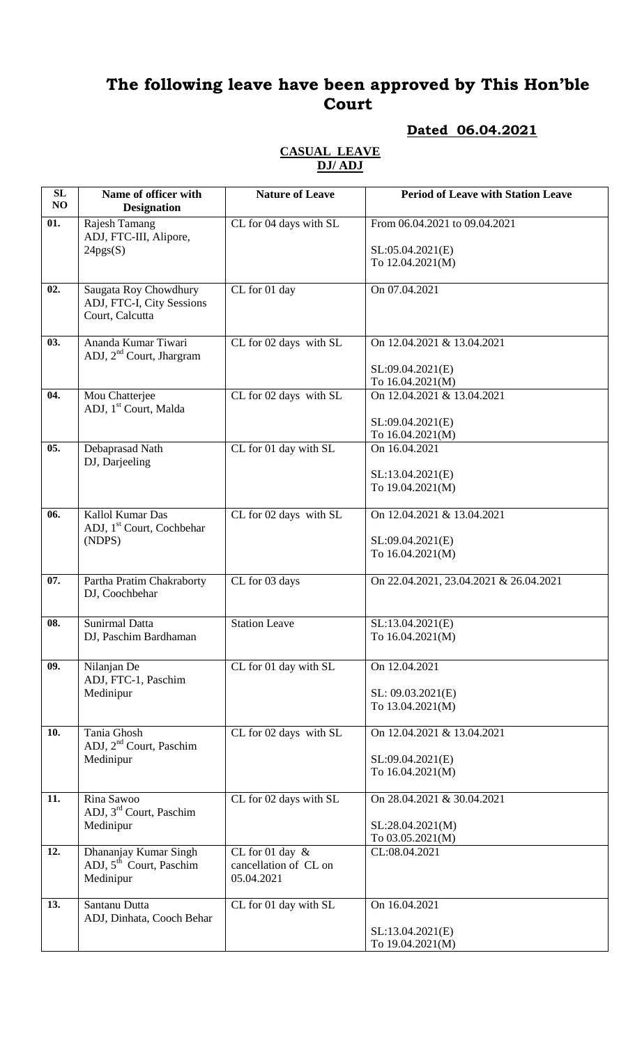## **Dated 06.04.2021**

#### **CASUAL LEAVE DJ/ ADJ**

| SL<br>NO | Name of officer with<br><b>Designation</b>                                | <b>Nature of Leave</b>                                    | <b>Period of Leave with Station Leave</b>                             |
|----------|---------------------------------------------------------------------------|-----------------------------------------------------------|-----------------------------------------------------------------------|
| 01.      | Rajesh Tamang<br>ADJ, FTC-III, Alipore,<br>24pgs(S)                       | CL for 04 days with SL                                    | From 06.04.2021 to 09.04.2021<br>SL:05.04.2021(E)<br>To 12.04.2021(M) |
| 02.      | Saugata Roy Chowdhury<br>ADJ, FTC-I, City Sessions<br>Court, Calcutta     | CL for 01 day                                             | On 07.04.2021                                                         |
| 03.      | Ananda Kumar Tiwari<br>ADJ, 2 <sup>nd</sup> Court, Jhargram               | CL for 02 days with SL                                    | On 12.04.2021 & 13.04.2021<br>SL:09.04.2021(E)<br>To 16.04.2021(M)    |
| 04.      | Mou Chatterjee<br>ADJ, 1 <sup>st</sup> Court, Malda                       | CL for 02 days with SL                                    | On 12.04.2021 & 13.04.2021<br>SL:09.04.2021(E)<br>To 16.04.2021(M)    |
| 05.      | Debaprasad Nath<br>DJ, Darjeeling                                         | CL for 01 day with SL                                     | On 16.04.2021<br>SL:13.04.2021(E)<br>To 19.04.2021(M)                 |
| 06.      | Kallol Kumar Das<br>ADJ, 1 <sup>st</sup> Court, Cochbehar<br>(NDPS)       | CL for 02 days with SL                                    | On 12.04.2021 & 13.04.2021<br>SL:09.04.2021(E)<br>To 16.04.2021(M)    |
| 07.      | Partha Pratim Chakraborty<br>DJ, Coochbehar                               | CL for 03 days                                            | On 22.04.2021, 23.04.2021 & 26.04.2021                                |
| 08.      | <b>Sunirmal Datta</b><br>DJ, Paschim Bardhaman                            | <b>Station Leave</b>                                      | SL:13.04.2021(E)<br>To 16.04.2021(M)                                  |
| 09.      | Nilanjan De<br>ADJ, FTC-1, Paschim<br>Medinipur                           | CL for 01 day with SL                                     | On 12.04.2021<br>SL: 09.03.2021(E)<br>To 13.04.2021(M)                |
| 10.      | Tania Ghosh<br>ADJ, 2 <sup>nd</sup> Court, Paschim<br>Medinipur           | CL for 02 days with SL                                    | On 12.04.2021 & 13.04.2021<br>SL:09.04.2021(E)<br>To 16.04.2021(M)    |
| 11.      | Rina Sawoo<br>ADJ, 3 <sup>rd</sup> Court, Paschim<br>Medinipur            | CL for 02 days with SL                                    | On 28.04.2021 & 30.04.2021<br>SL:28.04.2021(M)<br>To 03.05.2021(M)    |
| 12.      | Dhananjay Kumar Singh<br>ADJ, 5 <sup>th</sup> Court, Paschim<br>Medinipur | CL for 01 day $\&$<br>cancellation of CL on<br>05.04.2021 | CL:08.04.2021                                                         |
| 13.      | Santanu Dutta<br>ADJ, Dinhata, Cooch Behar                                | CL for 01 day with SL                                     | On 16.04.2021<br>SL:13.04.2021(E)                                     |
|          |                                                                           |                                                           | To 19.04.2021(M)                                                      |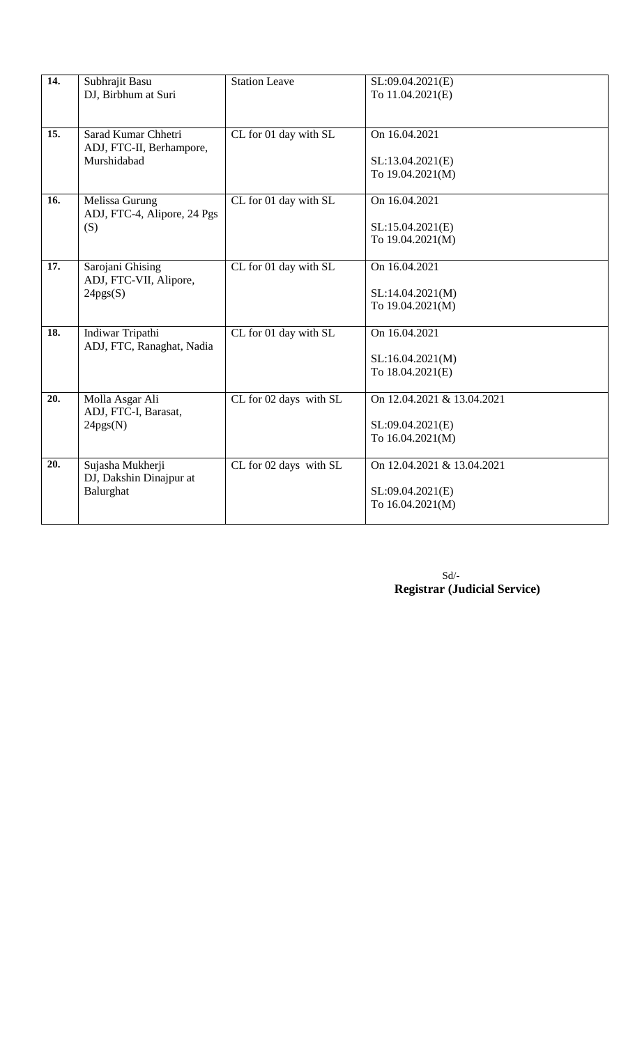| $\overline{14.}$ | Subhrajit Basu              | <b>Station Leave</b>   | SL:09.04.2021(E)           |
|------------------|-----------------------------|------------------------|----------------------------|
|                  | DJ, Birbhum at Suri         |                        | To 11.04.2021(E)           |
|                  |                             |                        |                            |
|                  |                             |                        |                            |
| 15.              | Sarad Kumar Chhetri         | CL for 01 day with SL  | On 16.04.2021              |
|                  | ADJ, FTC-II, Berhampore,    |                        |                            |
|                  | Murshidabad                 |                        | SL:13.04.2021(E)           |
|                  |                             |                        | To 19.04.2021(M)           |
|                  |                             |                        |                            |
| 16.              | Melissa Gurung              | CL for 01 day with SL  | On 16.04.2021              |
|                  | ADJ, FTC-4, Alipore, 24 Pgs |                        |                            |
|                  | (S)                         |                        | SL:15.04.2021(E)           |
|                  |                             |                        | To 19.04.2021(M)           |
|                  |                             |                        |                            |
| 17.              | Sarojani Ghising            | CL for 01 day with SL  | On 16.04.2021              |
|                  | ADJ, FTC-VII, Alipore,      |                        |                            |
|                  | 24pgs(S)                    |                        | SL:14.04.2021(M)           |
|                  |                             |                        | To 19.04.2021(M)           |
|                  |                             |                        |                            |
| 18.              | Indiwar Tripathi            | CL for 01 day with SL  | On 16.04.2021              |
|                  | ADJ, FTC, Ranaghat, Nadia   |                        |                            |
|                  |                             |                        | SL:16.04.2021(M)           |
|                  |                             |                        | To 18.04.2021(E)           |
|                  |                             |                        |                            |
| 20.              | Molla Asgar Ali             | CL for 02 days with SL | On 12.04.2021 & 13.04.2021 |
|                  | ADJ, FTC-I, Barasat,        |                        |                            |
|                  | 24pgs(N)                    |                        | SL:09.04.2021(E)           |
|                  |                             |                        | To 16.04.2021(M)           |
|                  |                             |                        |                            |
| 20.              | Sujasha Mukherji            | CL for 02 days with SL | On 12.04.2021 & 13.04.2021 |
|                  | DJ, Dakshin Dinajpur at     |                        |                            |
|                  | Balurghat                   |                        | SL:09.04.2021(E)           |
|                  |                             |                        | To 16.04.2021(M)           |
|                  |                             |                        |                            |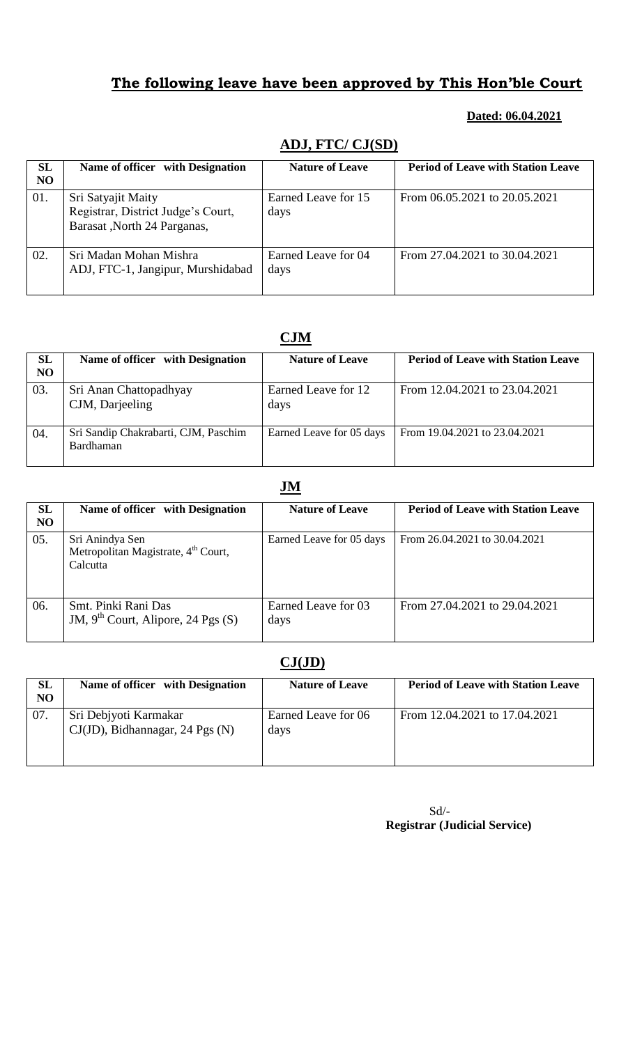#### **Dated: 06.04.2021**

| <b>SL</b><br><b>NO</b> | Name of officer with Designation                                                        | <b>Nature of Leave</b>      | <b>Period of Leave with Station Leave</b> |
|------------------------|-----------------------------------------------------------------------------------------|-----------------------------|-------------------------------------------|
| 01.                    | Sri Satyajit Maity<br>Registrar, District Judge's Court,<br>Barasat, North 24 Parganas, | Earned Leave for 15<br>days | From 06.05.2021 to 20.05.2021             |
| 02.                    | Sri Madan Mohan Mishra<br>ADJ, FTC-1, Jangipur, Murshidabad                             | Earned Leave for 04<br>days | From 27.04.2021 to 30.04.2021             |

## **ADJ, FTC/ CJ(SD)**

## **CJM**

| <b>SL</b><br><b>NO</b> | Name of officer with Designation                  | <b>Nature of Leave</b>      | <b>Period of Leave with Station Leave</b> |
|------------------------|---------------------------------------------------|-----------------------------|-------------------------------------------|
| 03.                    | Sri Anan Chattopadhyay<br>CJM, Darjeeling         | Earned Leave for 12<br>days | From 12.04.2021 to 23.04.2021             |
| 04.                    | Sri Sandip Chakrabarti, CJM, Paschim<br>Bardhaman | Earned Leave for 05 days    | From 19.04.2021 to 23.04.2021             |

### **JM**

| SL<br>N <sub>O</sub> | Name of officer with Designation                                               | <b>Nature of Leave</b>      | <b>Period of Leave with Station Leave</b> |
|----------------------|--------------------------------------------------------------------------------|-----------------------------|-------------------------------------------|
| 05.                  | Sri Anindya Sen<br>Metropolitan Magistrate, 4 <sup>th</sup> Court,<br>Calcutta | Earned Leave for 05 days    | From 26.04.2021 to 30.04.2021             |
| 06.                  | Smt. Pinki Rani Das<br>JM, $9th$ Court, Alipore, 24 Pgs (S)                    | Earned Leave for 03<br>days | From 27.04.2021 to 29.04.2021             |

## **CJ(JD)**

| SL<br>NO | Name of officer with Designation                         | <b>Nature of Leave</b>      | <b>Period of Leave with Station Leave</b> |
|----------|----------------------------------------------------------|-----------------------------|-------------------------------------------|
| 07.      | Sri Debjyoti Karmakar<br>CJ(JD), Bidhannagar, 24 Pgs (N) | Earned Leave for 06<br>days | From 12.04.2021 to 17.04.2021             |